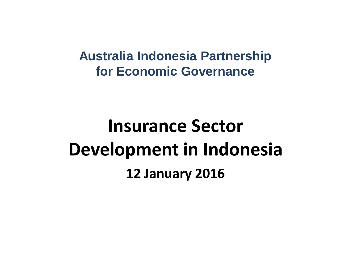#### **Australia Indonesia Partnership for Economic Governance**

## **Insurance Sector Development in Indonesia 12 January 2016**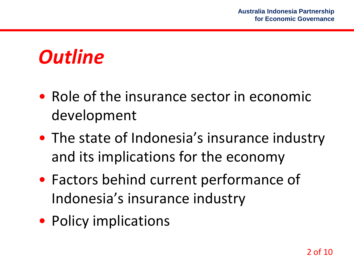### *Outline*

- Role of the insurance sector in economic development
- The state of Indonesia's insurance industry and its implications for the economy
- Factors behind current performance of Indonesia's insurance industry
- Policy implications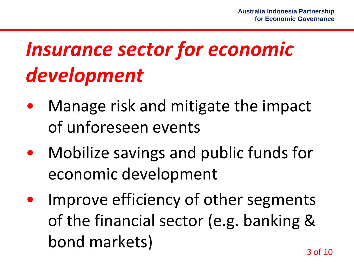# *Insurance sector for economic development*

- Manage risk and mitigate the impact of unforeseen events
- Mobilize savings and public funds for economic development
- Improve efficiency of other segments of the financial sector (e.g. banking & bond markets)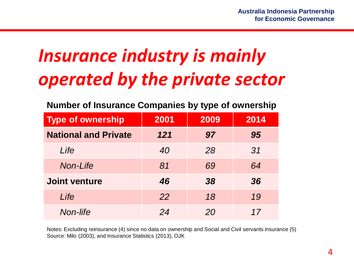### *Insurance industry is mainly operated by the private sector*

| <b>Type of ownership</b>    | 2001 | 2009 | 2014 |
|-----------------------------|------|------|------|
| <b>National and Private</b> | 121  | 97   | 95   |
| Life                        | 40   | 28   | 31   |
| Non-Life                    | 81   | 69   | 64   |
| <b>Joint venture</b>        | 46   | 38   | 36   |
| Life                        | 22   | 18   | 19   |
| Non-life                    | 24   | 20   | 17   |

Notes: Excluding reinsurance (4) since no data on ownership and Social and Civil servants insurance (5) Source: Milo (2003), and Insurance Statistics (2013), OJK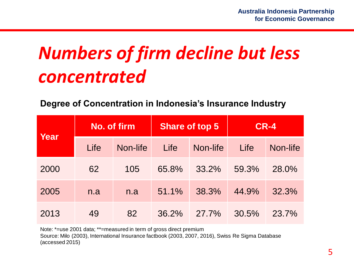### *Numbers of firm decline but less concentrated*

**Degree of Concentration in Indonesia's Insurance Industry**

| Year | No. of firm |          |       | <b>Share of top 5</b> | <b>CR-4</b> |          |
|------|-------------|----------|-------|-----------------------|-------------|----------|
|      | Life        | Non-life | Life  | Non-life              | Life        | Non-life |
| 2000 | 62          | 105      | 65.8% | 33.2%                 | 59.3%       | 28.0%    |
| 2005 | n.a         | n.a      | 51.1% | 38.3%                 | 44.9%       | 32.3%    |
| 2013 | 49          | 82       | 36.2% | 27.7%                 | 30.5%       | 23.7%    |

Note: \*=use 2001 data; \*\*=measured in term of gross direct premium

Source: Milo (2003), International Insurance factbook (2003, 2007, 2016), Swiss Re Sigma Database (accessed 2015)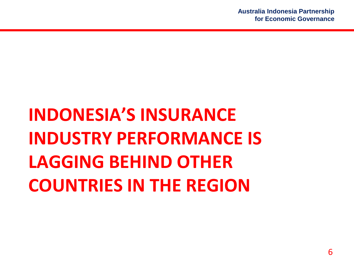# **INDONESIA'S INSURANCE INDUSTRY PERFORMANCE IS LAGGING BEHIND OTHER COUNTRIES IN THE REGION**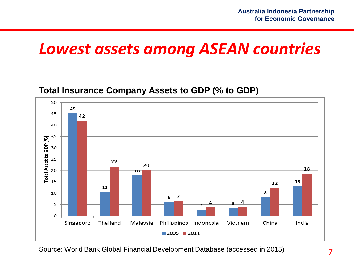### *Lowest assets among ASEAN countries*

#### **Total Insurance Company Assets to GDP (% to GDP)**



Source: World Bank Global Financial Development Database (accessed in 2015)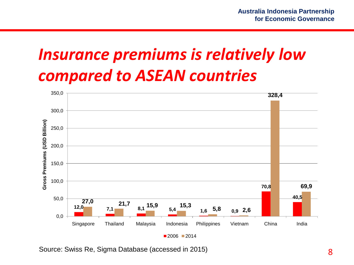### *Insurance premiums is relatively low compared to ASEAN countries*



Source: Swiss Re, Sigma Database (accessed in 2015)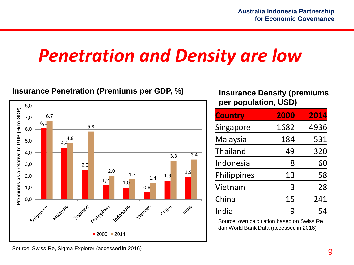### *Penetration and Density are low*

#### **Insurance Penetration (Premiums per GDP, %) Insurance Density (premiums**



**per population, USD)**

| <b>Country</b> | 2000 | 2014 |
|----------------|------|------|
| Singapore      | 1682 | 4936 |
| Malaysia       | 184  | 531  |
| Thailand       | 49   | 320  |
| Indonesia      |      | 60   |
| Philippines    | 13   | 58   |
| Vietnam        |      | 28   |
| China          | 15   | 241  |
| India          |      |      |

Source: own calculation based on Swiss Re dan World Bank Data (accessed in 2016)

Source: Swiss Re, Sigma Explorer (accessed in 2016)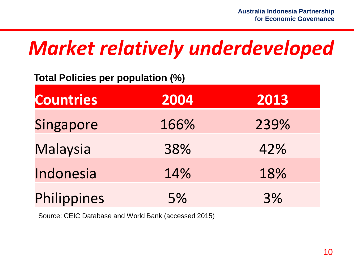## *Market relatively underdeveloped*

#### **Total Policies per population (%)**

| <b>Countries</b> | 2004 | 2013 |
|------------------|------|------|
| Singapore        | 166% | 239% |
| <b>Malaysia</b>  | 38%  | 42%  |
| Indonesia        | 14%  | 18%  |
| Philippines      | 5%   | 3%   |

Source: CEIC Database and World Bank (accessed 2015)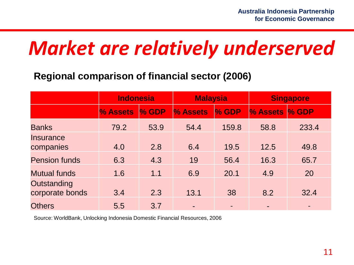## *Market are relatively underserved*

#### **Regional comparison of financial sector (2006)**

|                                | <b>Indonesia</b> |       | <b>Malaysia</b>          |       | <b>Singapore</b> |                          |
|--------------------------------|------------------|-------|--------------------------|-------|------------------|--------------------------|
|                                | % Assets         | % GDP | % Assets                 | % GDP | % Assets         | % GDP                    |
| <b>Banks</b>                   | 79.2             | 53.9  | 54.4                     | 159.8 | 58.8             | 233.4                    |
| Insurance<br>companies         | 4.0              | 2.8   | 6.4                      | 19.5  | 12.5             | 49.8                     |
| <b>Pension funds</b>           | 6.3              | 4.3   | 19                       | 56.4  | 16.3             | 65.7                     |
| <b>Mutual funds</b>            | 1.6              | 1.1   | 6.9                      | 20.1  | 4.9              | 20                       |
| Outstanding<br>corporate bonds | 3.4              | 2.3   | 13.1                     | 38    | 8.2              | 32.4                     |
| <b>Others</b>                  | 5.5              | 3.7   | $\overline{\phantom{0}}$ |       |                  | $\overline{\phantom{0}}$ |

Source: WorldBank, Unlocking Indonesia Domestic Financial Resources, 2006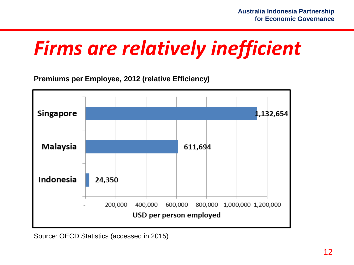## *Firms are relatively inefficient*

**Premiums per Employee, 2012 (relative Efficiency)**



Source: OECD Statistics (accessed in 2015)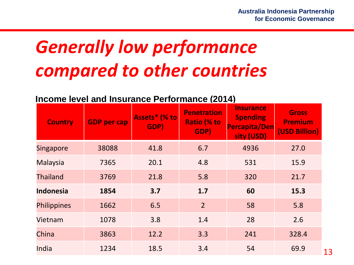## *Generally low performance compared to other countries*

#### **Income level and Insurance Performance (2014)**

| <b>Country</b>     | <b>GDP</b> per cap | Assets* (% to<br>GDP) | <b>Penetration</b><br><b>Ratio (% to</b><br>GDP) | <b>Insurance</b><br><b>Spending</b><br>Percapita/Den<br>sity (USD) | <b>Gross</b><br><b>Premium</b><br>(USD Billion) |
|--------------------|--------------------|-----------------------|--------------------------------------------------|--------------------------------------------------------------------|-------------------------------------------------|
| <b>Singapore</b>   | 38088              | 41.8                  | 6.7                                              | 4936                                                               | 27.0                                            |
| <b>Malaysia</b>    | 7365               | 20.1                  | 4.8                                              | 531                                                                | 15.9                                            |
| <b>Thailand</b>    | 3769               | 21.8                  | 5.8                                              | 320                                                                | 21.7                                            |
| <b>Indonesia</b>   | 1854               | 3.7                   | 1.7                                              | 60                                                                 | 15.3                                            |
| <b>Philippines</b> | 1662               | 6.5                   | $\overline{2}$                                   | 58                                                                 | 5.8                                             |
| Vietnam            | 1078               | 3.8                   | 1.4                                              | 28                                                                 | 2.6                                             |
| China              | 3863               | 12.2                  | 3.3                                              | 241                                                                | 328.4                                           |
| India              | 1234               | 18.5                  | 3.4                                              | 54                                                                 | 69.9                                            |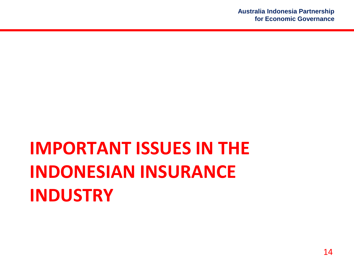## **IMPORTANT ISSUES IN THE INDONESIAN INSURANCE INDUSTRY**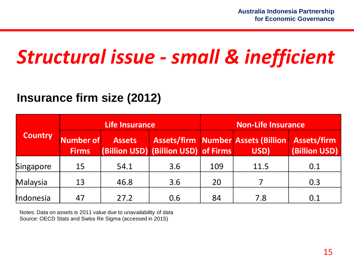### *Structural issue - small & inefficient*

#### **Insurance firm size (2012)**

|                |                           | Life Insurance |                                      | <b>Non-Life Insurance</b> |                                                               |               |
|----------------|---------------------------|----------------|--------------------------------------|---------------------------|---------------------------------------------------------------|---------------|
| <b>Country</b> | Number of<br><b>Firms</b> | <b>Assets</b>  | (Billion USD) (Billion USD) of Firms |                           | <b>Assets/firm Number Assets (Billion Assets/firm</b><br>USD) | (Billion USD) |
| Singapore      | 15                        | 54.1           | 3.6                                  | 109                       | 11.5                                                          | 0.1           |
| Malaysia       | 13                        | 46.8           | 3.6                                  | 20                        |                                                               | 0.3           |
| Indonesia      | 47                        | 27.2           | 0.6                                  | 84                        | 7.8                                                           | 0.1           |

Notes: Data on assets is 2011 value due to unavailability of data Source: OECD Stats and Swiss Re Sigma (accessed in 2015)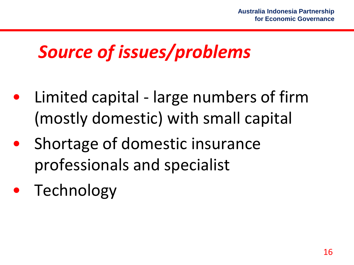### *Source of issues/problems*

- Limited capital large numbers of firm (mostly domestic) with small capital
- Shortage of domestic insurance professionals and specialist
- **Technology**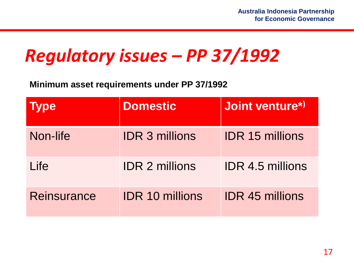### *Regulatory issues – PP 37/1992*

**Minimum asset requirements under PP 37/1992**

| <b>ype</b>         | <b>Domestic</b>        | Joint venture*)         |
|--------------------|------------------------|-------------------------|
| Non-life           | <b>IDR 3 millions</b>  | <b>IDR 15 millions</b>  |
| Life               | <b>IDR 2 millions</b>  | <b>IDR 4.5 millions</b> |
| <b>Reinsurance</b> | <b>IDR 10 millions</b> | <b>IDR 45 millions</b>  |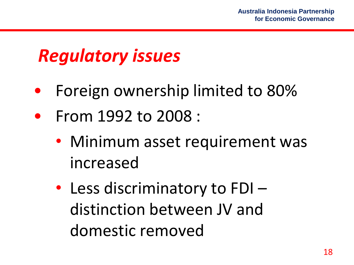### *Regulatory issues*

- Foreign ownership limited to 80%
- From 1992 to 2008 :
	- Minimum asset requirement was increased
	- Less discriminatory to FDI distinction between JV and domestic removed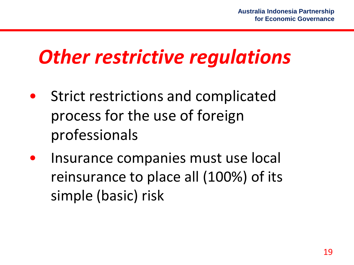## *Other restrictive regulations*

- Strict restrictions and complicated process for the use of foreign professionals
- Insurance companies must use local reinsurance to place all (100%) of its simple (basic) risk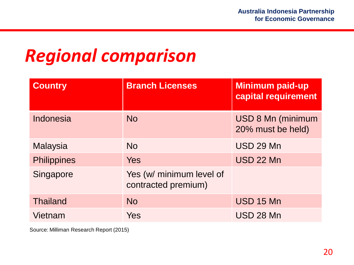### *Regional comparison*

| <b>Country</b>     | <b>Branch Licenses</b>                          | <b>Minimum paid-up</b><br>capital requirement |
|--------------------|-------------------------------------------------|-----------------------------------------------|
| Indonesia          | <b>No</b>                                       | <b>USD 8 Mn (minimum</b><br>20% must be held) |
| <b>Malaysia</b>    | <b>No</b>                                       | <b>USD 29 Mn</b>                              |
| <b>Philippines</b> | <b>Yes</b>                                      | <b>USD 22 Mn</b>                              |
| Singapore          | Yes (w/ minimum level of<br>contracted premium) |                                               |
| <b>Thailand</b>    | <b>No</b>                                       | <b>USD 15 Mn</b>                              |
| Vietnam            | Yes                                             | <b>USD 28 Mn</b>                              |

Source: Milliman Research Report (2015)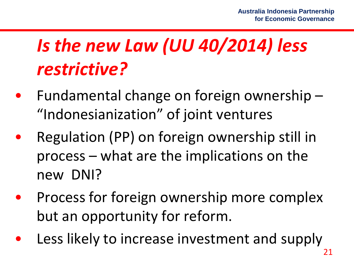## *Is the new Law (UU 40/2014) less restrictive?*

- Fundamental change on foreign ownership  $-$ "Indonesianization" of joint ventures
- Regulation (PP) on foreign ownership still in process – what are the implications on the new DNI?
- Process for foreign ownership more complex but an opportunity for reform.
- Less likely to increase investment and supply